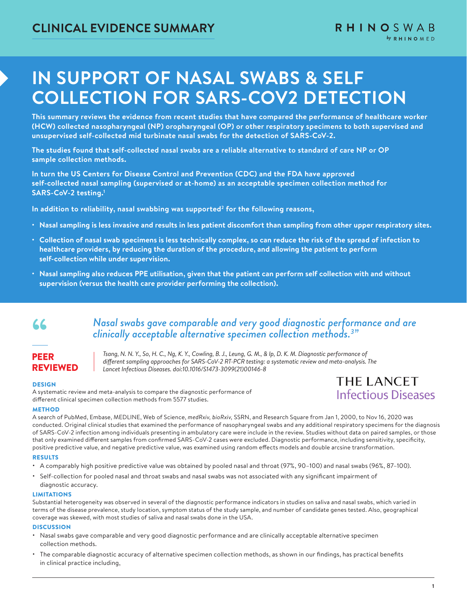# **IN SUPPORT OF NASAL SWABS & SELF COLLECTION FOR SARS-COV2 DETECTION**

**This summary reviews the evidence from recent studies that have compared the performance of healthcare worker (HCW) collected nasopharyngeal (NP) oropharyngeal (OP) or other respiratory specimens to both supervised and unsupervised self-collected mid turbinate nasal swabs for the detection of SARS-CoV-2.** 

**The studies found that self-collected nasal swabs are a reliable alternative to standard of care NP or OP sample collection methods.**

**In turn the US Centers for Disease Control and Prevention (CDC) and the FDA have approved self-collected nasal sampling (supervised or at-home) as an acceptable specimen collection method for SARS-CoV-2 testing.1**

In addition to reliability, nasal swabbing was supported<sup>2</sup> for the following reasons,

- **Nasal sampling is less invasive and results in less patient discomfort than sampling from other upper respiratory sites.**
- **Collection of nasal swab specimens is less technically complex, so can reduce the risk of the spread of infection to healthcare providers, by reducing the duration of the procedure, and allowing the patient to perform self-collection while under supervision.**
- **Nasal sampling also reduces PPE utilisation, given that the patient can perform self collection with and without supervision (versus the health care provider performing the collection).**

## "

### *Nasal swabs gave comparable and very good diagnostic performance and are clinically acceptable alternative specimen collection methods.3 "*

PEER REVIEWED

*Tsang, N. N. Y., So, H. C., Ng, K. Y., Cowling, B. J., Leung, G. M., & Ip, D. K. M. Diagnostic performance of different sampling approaches for SARS-CoV-2 RT-PCR testing: a systematic review and meta-analysis. The Lancet Infectious Diseases. doi:10.1016/S1473-3099(21)00146-8*

### **DESIGN**

A systematic review and meta-analysis to compare the diagnostic performance of different clinical specimen collection methods from 5577 studies.

### THE LANCET **Infectious Diseases**

#### **METHOD**

A search of PubMed, Embase, MEDLINE, Web of Science, *medRxiv, bioRxiv,* SSRN, and Research Square from Jan 1, 2000, to Nov 16, 2020 was conducted. Original clinical studies that examined the performance of nasopharyngeal swabs and any additional respiratory specimens for the diagnosis of SARS-CoV-2 infection among individuals presenting in ambulatory care were include in the review. Studies without data on paired samples, or those that only examined different samples from confirmed SARS-CoV-2 cases were excluded. Diagnostic performance, including sensitivity, specificity, positive predictive value, and negative predictive value, was examined using random effects models and double arcsine transformation.

### **RESULTS**

- A comparably high positive predictive value was obtained by pooled nasal and throat (97%, 90–100) and nasal swabs (96%, 87–100).
- Self-collection for pooled nasal and throat swabs and nasal swabs was not associated with any significant impairment of diagnostic accuracy.

#### LIMITATIONS

Substantial heterogeneity was observed in several of the diagnostic performance indicators in studies on saliva and nasal swabs, which varied in terms of the disease prevalence, study location, symptom status of the study sample, and number of candidate genes tested. Also, geographical coverage was skewed, with most studies of saliva and nasal swabs done in the USA.

#### **DISCUSSION**

- Nasal swabs gave comparable and very good diagnostic performance and are clinically acceptable alternative specimen collection methods.
- The comparable diagnostic accuracy of alternative specimen collection methods, as shown in our findings, has practical benefits in clinical practice including,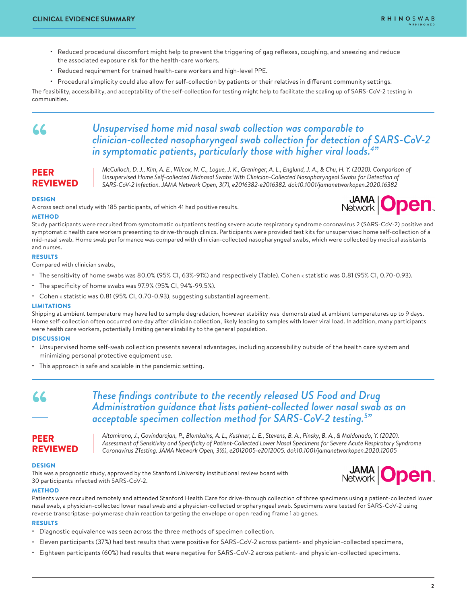- Reduced procedural discomfort might help to prevent the triggering of gag reflexes, coughing, and sneezing and reduce the associated exposure risk for the health-care workers.
- Reduced requirement for trained health-care workers and high-level PPE.
- Procedural simplicity could also allow for self-collection by patients or their relatives in different community settings.

The feasibility, accessibility, and acceptability of the self-collection for testing might help to facilitate the scaling up of SARS-CoV-2 testing in communities.

## "

### *Unsupervised home mid nasal swab collection was comparable to clinician-collected nasopharyngeal swab collection for detection of SARS-CoV-2 in symptomatic patients, particularly those with higher viral loads.4 "*

### PEER REVIEWED

*McCulloch, D. J., Kim, A. E., Wilcox, N. C., Logue, J. K., Greninger, A. L., Englund, J. A., & Chu, H. Y. (2020). Comparison of Unsupervised Home Self-collected Midnasal Swabs With Clinician-Collected Nasopharyngeal Swabs for Detection of SARS-CoV-2 Infection. JAMA Network Open, 3(7), e2016382-e2016382. doi:10.1001/jamanetworkopen.2020.16382*

### **DESIGN**

A cross sectional study with 185 participants, of which 41 had positive results.



### **METHOD**

Study participants were recruited from symptomatic outpatients testing severe acute respiratory syndrome coronavirus 2 (SARS-CoV-2) positive and symptomatic health care workers presenting to drive-through clinics. Participants were provided test kits for unsupervised home self-collection of a mid-nasal swab. Home swab performance was compared with clinician-collected nasopharyngeal swabs, which were collected by medical assistants and nurses.

### RESULTS

Compared with clinician swabs,

- The sensitivity of home swabs was 80.0% (95% CI, 63%-91%) and respectively (Table). Cohen k statistic was 0.81 (95% CI, 0.70-0.93).
- The specificity of home swabs was 97.9% (95% CI, 94%-99.5%).
- Cohen  $\kappa$  statistic was 0.81 (95% CI, 0.70-0.93), suggesting substantial agreement.

### LIMITATIONS

Shipping at ambient temperature may have led to sample degradation, however stability was demonstrated at ambient temperatures up to 9 days. Home self-collection often occurred one day after clinician collection, likely leading to samples with lower viral load. In addition, many participants were health care workers, potentially limiting generalizability to the general population.

### **DISCUSSION**

- Unsupervised home self-swab collection presents several advantages, including accessibility outside of the health care system and minimizing personal protective equipment use.
- This approach is safe and scalable in the pandemic setting.

### *These findings contribute to the recently released US Food and Drug Administration guidance that lists patient-collected lower nasal swab as an acceptable specimen collection method for SARS-CoV-2 testing.5 "*

### PEER REVIEWED

*Altamirano, J., Govindarajan, P., Blomkalns, A. L., Kushner, L. E., Stevens, B. A., Pinsky, B. A., & Maldonado, Y. (2020). Assessment of Sensitivity and Specificity of Patient-Collected Lower Nasal Specimens for Severe Acute Respiratory Syndrome Coronavirus 2Testing. JAMA Network Open, 3(6), e2012005-e2012005. doi:10.1001/jamanetworkopen.2020.12005*

### DESIGN

"

This was a prognostic study, approved by the Stanford University institutional review board with 30 participants infected with SARS-CoV-2.



### **METHOD**

Patients were recruited remotely and attended Stanford Health Care for drive-through collection of three specimens using a patient-collected lower nasal swab, a physician-collected lower nasal swab and a physician-collected oropharyngeal swab. Specimens were tested for SARS-CoV-2 using reverse transcriptase–polymerase chain reaction targeting the envelope or open reading frame 1 ab genes.

### RESULTS

- Diagnostic equivalence was seen across the three methods of specimen collection.
- Eleven participants (37%) had test results that were positive for SARS-CoV-2 across patient- and physician-collected specimens,
- Eighteen participants (60%) had results that were negative for SARS-CoV-2 across patient- and physician-collected specimens.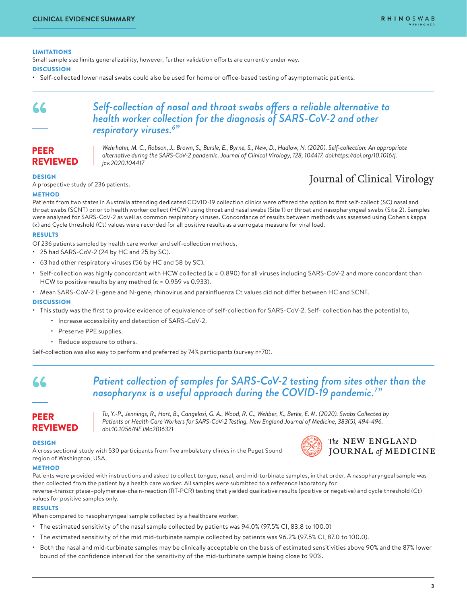### LIMITATIONS

Small sample size limits generalizability, however, further validation efforts are currently under way.

**DISCUSSION** 

• Self-collected lower nasal swabs could also be used for home or office-based testing of asymptomatic patients.

### *Self-collection of nasal and throat swabs offers a reliable alternative to health worker collection for the diagnosis of SARS-CoV-2 and other respiratory viruses.6 "*

PEER REVIEWED

*Wehrhahn, M. C., Robson, J., Brown, S., Bursle, E., Byrne, S., New, D., Hadlow, N. (2020). Self-collection: An appropriate alternative during the SARS-CoV-2 pandemic. Journal of Clinical Virology, 128, 104417. doi:https://doi.org/10.1016/j. jcv.2020.104417*

### DESIGN

"

A prospective study of 236 patients.

### Journal of Clinical Virology

### METHOD

Patients from two states in Australia attending dedicated COVID-19 collection clinics were offered the option to first self-collect (SC) nasal and throat swabs (SCNT) prior to health worker collect (HCW) using throat and nasal swabs (Site 1) or throat and nasopharyngeal swabs (Site 2). Samples were analysed for SARS-CoV-2 as well as common respiratory viruses. Concordance of results between methods was assessed using Cohen's kappa (ĸ) and Cycle threshold (Ct) values were recorded for all positive results as a surrogate measure for viral load.

### RESULTS

Of 236 patients sampled by health care worker and self-collection methods,

- 25 had SARS-CoV-2 (24 by HC and 25 by SC).
- 63 had other respiratory viruses (56 by HC and 58 by SC).
- Self-collection was highly concordant with HCW collected (ĸ = 0.890) for all viruses including SARS-CoV-2 and more concordant than HCW to positive results by any method ( $\kappa$  = 0.959 vs 0.933).
- Mean SARS-CoV-2 E-gene and N-gene, rhinovirus and parainfluenza Ct values did not differ between HC and SCNT.

#### **DISCUSSION**

- This study was the first to provide evidence of equivalence of self-collection for SARS-CoV-2. Self- collection has the potential to,
	- Increase accessibility and detection of SARS-CoV-2.
	- Preserve PPE supplies.
	- Reduce exposure to others.

Self-collection was also easy to perform and preferred by 74% participants (survey n=70).

### *Patient collection of samples for SARS-CoV-2 testing from sites other than the nasopharynx is a useful approach during the COVID-19 pandemic.7 "* "

### PEER REVIEWED

*Tu, Y.-P., Jennings, R., Hart, B., Cangelosi, G. A., Wood, R. C., Wehber, K., Berke, E. M. (2020). Swabs Collected by Patients or Health Care Workers for SARS-CoV-2 Testing. New England Journal of Medicine, 383(5), 494-496. doi:10.1056/NEJMc2016321*

The NEW ENGLAND JOURNAL of MEDICINE

#### DESIGN

A cross sectional study with 530 participants from five ambulatory clinics in the Puget Sound region of Washington, USA.



### **METHOD**

Patients were provided with instructions and asked to collect tongue, nasal, and mid-turbinate samples, in that order. A nasopharyngeal sample was then collected from the patient by a health care worker. All samples were submitted to a reference laboratory for reverse-transcriptase–polymerase-chain-reaction (RT-PCR) testing that yielded qualitative results (positive or negative) and cycle threshold (Ct) values for positive samples only.

#### RESULTS

When compared to nasopharyngeal sample collected by a healthcare worker,

- The estimated sensitivity of the nasal sample collected by patients was 94.0% (97.5% CI, 83.8 to 100.0)
- The estimated sensitivity of the mid mid-turbinate sample collected by patients was 96.2% (97.5% CI, 87.0 to 100.0).
- Both the nasal and mid-turbinate samples may be clinically acceptable on the basis of estimated sensitivities above 90% and the 87% lower bound of the confidence interval for the sensitivity of the mid-turbinate sample being close to 90%.